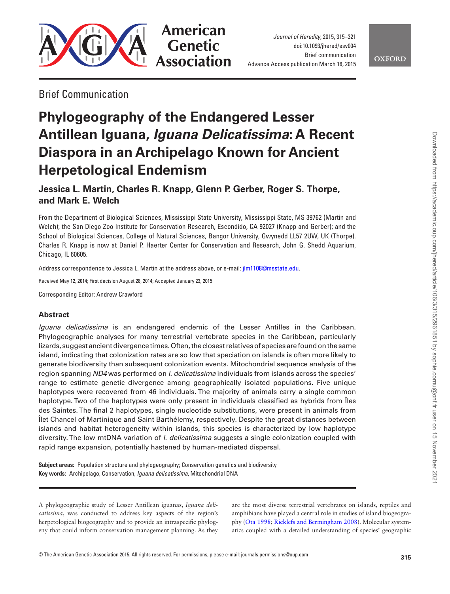

*Journal of Heredity*, 2015, 315–321 doi:10.1093/jhered/esv004 Brief communication Advance Access publication March 16, 2015

**OXFORD** 

# Brief Communication

# **Phylogeography of the Endangered Lesser Antillean Iguana,** *Iguana Delicatissima***: A Recent Diaspora in an Archipelago Known for Ancient Herpetological Endemism**

# **Jessica L. Martin, Charles R. Knapp, Glenn P. Gerber, Roger S. Thorpe, and Mark E. Welch**

From the Department of Biological Sciences, Mississippi State University, Mississippi State, MS 39762 (Martin and Welch); the San Diego Zoo Institute for Conservation Research, Escondido, CA 92027 (Knapp and Gerber); and the School of Biological Sciences, College of Natural Sciences, Bangor University, Gwynedd LL57 2UW, UK (Thorpe). Charles R. Knapp is now at Daniel P. Haerter Center for Conservation and Research, John G. Shedd Aquarium, Chicago, IL 60605.

Address correspondence to Jessica L. Martin at the address above, or e-mail: [jlm1108@msstate.edu.](mailto:jlm1108@msstate.edu?subject=)

Received May 12, 2014; First decision August 28, 2014; Accepted January 23, 2015

Corresponding Editor: Andrew Crawford

# **Abstract**

*Iguana delicatissima* is an endangered endemic of the Lesser Antilles in the Caribbean. Phylogeographic analyses for many terrestrial vertebrate species in the Caribbean, particularly lizards, suggest ancient divergence times. Often, the closest relatives of species are found on the same island, indicating that colonization rates are so low that speciation on islands is often more likely to generate biodiversity than subsequent colonization events. Mitochondrial sequence analysis of the region spanning *ND4* was performed on *I. delicatissima* individuals from islands across the species' range to estimate genetic divergence among geographically isolated populations. Five unique haplotypes were recovered from 46 individuals. The majority of animals carry a single common haplotype. Two of the haplotypes were only present in individuals classified as hybrids from Îles des Saintes. The final 2 haplotypes, single nucleotide substitutions, were present in animals from Îlet Chancel of Martinique and Saint Barthélemy, respectively. Despite the great distances between islands and habitat heterogeneity within islands, this species is characterized by low haplotype diversity. The low mtDNA variation of *I. delicatissima* suggests a single colonization coupled with rapid range expansion, potentially hastened by human-mediated dispersal.

**Subject areas:** Population structure and phylogeography; Conservation genetics and biodiversity **Key words:** Archipelago, Conservation, *Iguana delicatissima*, Mitochondrial DNA

A phylogeographic study of Lesser Antillean iguanas, *Iguana delicatissima*, was conducted to address key aspects of the region's herpetological biogeography and to provide an intraspecific phylogeny that could inform conservation management planning. As they are the most diverse terrestrial vertebrates on islands, reptiles and amphibians have played a central role in studies of island biogeography ([Ota 1998](#page-6-0); [Ricklefs and Bermingham 2008](#page-6-1)). Molecular systematics coupled with a detailed understanding of species' geographic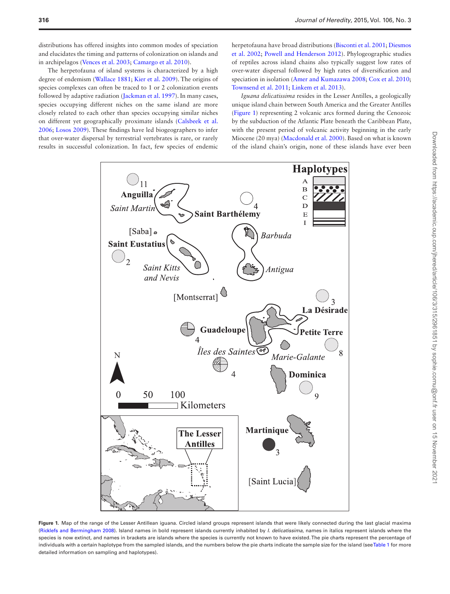distributions has offered insights into common modes of speciation and elucidates the timing and patterns of colonization on islands and in archipelagos [\(Vences et al. 2003](#page-6-2); [Camargo et al. 2010\)](#page-5-0).

The herpetofauna of island systems is characterized by a high degree of endemism ([Wallace 1881;](#page-6-3) [Kier et al. 2009](#page-5-1)). The origins of species complexes can often be traced to 1 or 2 colonization events followed by adaptive radiation [\(Jackman et al. 1997](#page-5-2)). In many cases, species occupying different niches on the same island are more closely related to each other than species occupying similar niches on different yet geographically proximate islands ([Calsbeek et al.](#page-5-3) [2006](#page-5-3); [Losos 2009](#page-5-4)). These findings have led biogeographers to infer that over-water dispersal by terrestrial vertebrates is rare, or rarely results in successful colonization. In fact, few species of endemic

herpetofauna have broad distributions ([Bisconti et al. 2001;](#page-5-5) [Diesmos](#page-5-6) [et al. 2002](#page-5-6); [Powell and Henderson 2012](#page-6-4)). Phylogeographic studies of reptiles across island chains also typically suggest low rates of over-water dispersal followed by high rates of diversification and speciation in isolation [\(Amer and Kumazawa 2008;](#page-5-7) [Cox et al. 2010](#page-5-8); [Townsend et al. 2011](#page-6-5); [Linkem et al. 2013\)](#page-5-9).

*Iguana delicatissima* resides in the Lesser Antilles, a geologically unique island chain between South America and the Greater Antilles ([Figure 1\)](#page-1-0) representing 2 volcanic arcs formed during the Cenozoic by the subduction of the Atlantic Plate beneath the Caribbean Plate, with the present period of volcanic activity beginning in the early Miocene (20 mya) [\(Macdonald et al. 2000\)](#page-6-6). Based on what is known of the island chain's origin, none of these islands have ever been



<span id="page-1-0"></span>**Figure 1.** Map of the range of the Lesser Antillean iguana. Circled island groups represent islands that were likely connected during the last glacial maxima [\(Ricklefs and Bermingham 2008\)](#page-6-1). Island names in bold represent islands currently inhabited by *I. delicatissima*, names in italics represent islands where the species is now extinct, and names in brackets are islands where the species is currently not known to have existed. The pie charts represent the percentage of individuals with a certain haplotype from the sampled islands, and the numbers below the pie charts indicate the sample size for the island (see [Table 1](#page-2-0) for more detailed information on sampling and haplotypes).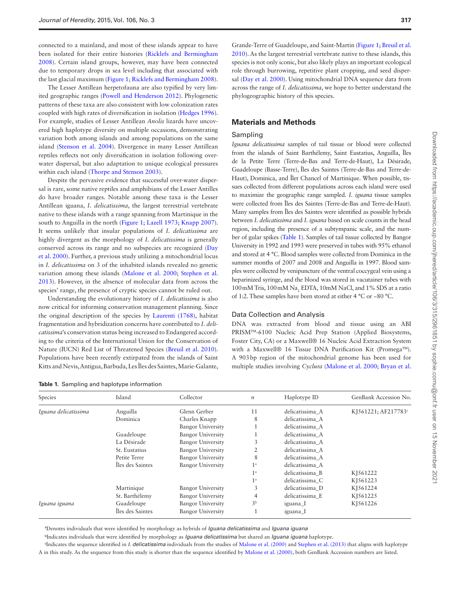connected to a mainland, and most of these islands appear to have been isolated for their entire histories [\(Ricklefs and Bermingham](#page-6-1) [2008](#page-6-1)). Certain island groups, however, may have been connected due to temporary drops in sea level including that associated with the last glacial maximum ([Figure 1;](#page-1-0) [Ricklefs and Bermingham 2008](#page-6-1)).

The Lesser Antillean herpetofauna are also typified by very limited geographic ranges ([Powell and Henderson 2012](#page-6-4)). Phylogenetic patterns of these taxa are also consistent with low colonization rates coupled with high rates of diversification in isolation ([Hedges 1996\)](#page-5-10). For example, studies of Lesser Antillean *Anolis* lizards have uncovered high haplotype diversity on multiple occasions, demonstrating variation both among islands and among populations on the same island ([Stenson et al. 2004\)](#page-6-7). Divergence in many Lesser Antillean reptiles reflects not only diversification in isolation following overwater dispersal, but also adaptation to unique ecological pressures within each island ([Thorpe and Stenson 2003](#page-6-8)).

Despite the pervasive evidence that successful over-water dispersal is rare, some native reptiles and amphibians of the Lesser Antilles do have broader ranges. Notable among these taxa is the Lesser Antillean iguana, *I. delicatissima*, the largest terrestrial vertebrate native to these islands with a range spanning from Martinique in the south to Anguilla in the north [\(Figure 1;](#page-1-0) [Lazell 1973;](#page-5-11) [Knapp 2007\)](#page-5-12). It seems unlikely that insular populations of *I. delicatissima* are highly divergent as the morphology of *I. delicatissima* is generally conserved across its range and no subspecies are recognized [\(Day](#page-5-13) [et al. 2000](#page-5-13)). Further, a previous study utilizing a mitochondrial locus in *I. delicatissima* on 3 of the inhabited islands revealed no genetic variation among these islands ([Malone et al. 2000;](#page-6-9) [Stephen et al.](#page-6-10) [2013](#page-6-10)). However, in the absence of molecular data from across the species' range, the presence of cryptic species cannot be ruled out.

Understanding the evolutionary history of *I. delicatissima* is also now critical for informing conservation management planning. Since the original description of the species by [Laurenti \(1768\),](#page-5-14) habitat fragmentation and hybridization concerns have contributed to *I. delicatissima*'s conservation status being increased to Endangered according to the criteria of the International Union for the Conservation of Nature (IUCN) Red List of Threatened Species [\(Breuil et al. 2010\)](#page-5-15). Populations have been recently extirpated from the islands of Saint Kitts and Nevis, Antigua, Barbuda, Les Îles des Saintes, Marie-Galante,

<span id="page-2-0"></span>**Table 1.** Sampling and haplotype information

Grande-Terre of Guadeloupe, and Saint-Martin ([Figure 1](#page-1-0); [Breuil et al.](#page-5-15) [2010\)](#page-5-15). As the largest terrestrial vertebrate native to these islands, this species is not only iconic, but also likely plays an important ecological role through burrowing, repetitive plant cropping, and seed dispersal [\(Day et al. 2000](#page-5-13)). Using mitochondrial DNA sequence data from across the range of *I. delicatissima*, we hope to better understand the phylogeographic history of this species.

## **Materials and Methods**

#### Sampling

*Iguana delicatissima* samples of tail tissue or blood were collected from the islands of Saint Barthélemy, Saint Eustatius, Anguilla, Îles de la Petite Terre (Terre-de-Bas and Terre-de-Haut), La Désirade, Guadeloupe (Basse-Terre), Îles des Saintes (Terre-de-Bas and Terre-de-Haut), Dominica, and Îlet Chancel of Martinique. When possible, tissues collected from different populations across each island were used to maximize the geographic range sampled. *I. iguana* tissue samples were collected from Îles des Saintes (Terre-de-Bas and Terre-de-Haut). Many samples from Îles des Saintes were identified as possible hybrids between *I. delicatissima* and *I. iguana* based on scale counts in the head region, including the presence of a subtympanic scale, and the number of gular spikes [\(Table 1\)](#page-2-0). Samples of tail tissue collected by Bangor University in 1992 and 1993 were preserved in tubes with 95% ethanol and stored at 4 °C. Blood samples were collected from Dominica in the summer months of 2007 and 2008 and Anguilla in 1997. Blood samples were collected by venipuncture of the ventral coccygeal vein using a heparinized syringe, and the blood was stored in vacutainer tubes with  $100 \,\text{mM}$  Tris,  $100 \,\text{mM}$  Na<sub>2</sub> EDTA,  $10 \,\text{mM}$  NaCl, and  $1\%$  SDS at a ratio of 1:2. These samples have been stored at either 4 °C or −80 °C.

# Data Collection and Analysis

DNA was extracted from blood and tissue using an ABI PRISMTM-6100 Nucleic Acid Prep Station (Applied Biosystems, Foster City, CA) or a Maxwell® 16 Nucleic Acid Extraction System with a Maxwell® 16 Tissue DNA Purification Kit (Promega™). A 903bp region of the mitochondrial genome has been used for multiple studies involving *Cyclura* ([Malone et al. 2000;](#page-6-9) [Bryan et al.](#page-5-16)

| Species              | Island           | Collector                | $\boldsymbol{n}$ | Haplotype ID    | GenBank Accession No. |
|----------------------|------------------|--------------------------|------------------|-----------------|-----------------------|
| Iguana delicatissima | Anguilla         | Glenn Gerber             | 11               | delicatissima A | KJ561221; AF217783°   |
|                      | Dominica         | Charles Knapp            | 8                | delicatissima A |                       |
|                      |                  | <b>Bangor University</b> |                  | delicatissima A |                       |
|                      | Guadeloupe       | <b>Bangor University</b> |                  | delicatissima A |                       |
|                      | La Désirade      | <b>Bangor University</b> | 3                | delicatissima A |                       |
|                      | St. Eustatius    | <b>Bangor University</b> | 2                | delicatissima A |                       |
|                      | Petite Terre     | Bangor University        | 8                | delicatissima A |                       |
|                      | Îles des Saintes | <b>Bangor University</b> | $1^{\mathrm{a}}$ | delicatissima A |                       |
|                      |                  |                          | 1 <sup>a</sup>   | delicatissima B | K <sub>1561222</sub>  |
|                      |                  |                          | 1 <sup>a</sup>   | delicatissima C | K <sub>1561223</sub>  |
|                      | Martinique       | <b>Bangor University</b> | 3                | delicatissima D | KJ561224              |
|                      | St. Barthélemy   | <b>Bangor University</b> | 4                | delicatissima E | K <sub>1561225</sub>  |
| Iguana iguana        | Guadeloupe       | Bangor University        | 3 <sup>b</sup>   | iguana_I        | KJ561226              |
|                      | Îles des Saintes | Bangor University        |                  | iguana_I        |                       |

a Denotes individuals that were identified by morphology as hybrids of *Iguana delicatissima* and *Iguana iguana*

<sup>b</sup>Indicates individuals that were identified by morphology as *Iguana delicatissima* but shared an *Iguana iguana* haplotype.

<sup>e</sup>Indicates the sequence identified in *I. delicatissima* individuals from the studies of [Malone et al. \(2000\)](#page-6-9) and [Stephen et al. \(2013\)](#page-6-10) that aligns with haplotype A in this study. As the sequence from this study is shorter than the sequence identified by [Malone et al. \(2000\)](#page-6-9), both GenBank Accession numbers are listed.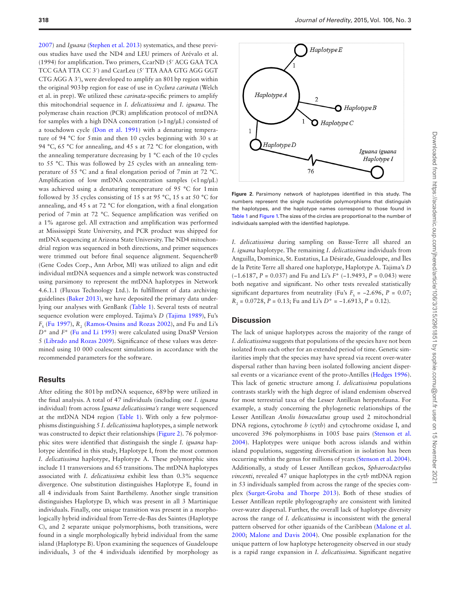[2007](#page-5-16)) and *Iguana* ([Stephen et al. 2013](#page-6-10)) systematics, and these previous studies have used the ND4 and LEU primers of Arévalo et al. (1994) for amplification. Two primers, CcarND (5′ ACG GAA TCA TCC GAA TTA CC 3′) and CcarLeu (5′ TTA AAA GTG AGG GGT CTG AGG A 3′), were developed to amplify an 801bp region within the original 903bp region for ease of use in *Cyclura carinata* (Welch et al. in prep). We utilized these *carinata*-specific primers to amplify this mitochondrial sequence in *I. delicatissima* and *I. iguana*. The polymerase chain reaction (PCR) amplification protocol of mtDNA for samples with a high DNA concentration (>1ng/µL) consisted of a touchdown cycle [\(Don et al. 1991\)](#page-5-17) with a denaturing temperature of 94 °C for 5min and then 10 cycles beginning with 30 s at 94 °C, 65 °C for annealing, and 45 s at 72 °C for elongation, with the annealing temperature decreasing by 1 °C each of the 10 cycles to 55 °C. This was followed by 25 cycles with an annealing temperature of 55 °C and a final elongation period of 7min at 72 °C. Amplification of low mtDNA concentration samples (<1ng/µL) was achieved using a denaturing temperature of 95 °C for 1min followed by 35 cycles consisting of 15 s at 95 °C, 15 s at 50 °C for annealing, and 45 s at 72 °C for elongation, with a final elongation period of 7min at 72 °C. Sequence amplification was verified on a 1% agarose gel. All extraction and amplification was performed at Mississippi State University, and PCR product was shipped for mtDNA sequencing at Arizona State University. The ND4 mitochondrial region was sequenced in both directions, and primer sequences were trimmed out before final sequence alignment. Sequencher® (Gene Codes Corp., Ann Arbor, MI) was utilized to align and edit individual mtDNA sequences and a simple network was constructed using parsimony to represent the mtDNA haplotypes in Network 4.6.1.1 (Fluxus Technology Ltd.). In fulfillment of data archiving guidelines [\(Baker 2013\)](#page-5-18), we have deposited the primary data underlying our analyses with GenBank ([Table 1\)](#page-2-0). Several tests of neutral sequence evolution were employed. Tajima's *D* [\(Tajima 1989](#page-6-11)), Fu's  $F_s$  [\(Fu 1997\)](#page-5-19),  $R_2$  ([Ramos-Onsins and Rozas 2002\)](#page-6-12), and Fu and Li's *D*\* and *F*\* [\(Fu and Li 1993](#page-5-20)) were calculated using DnaSP Version 5 ([Librado and Rozas 2009](#page-5-21)). Significance of these values was determined using 10 000 coalescent simulations in accordance with the recommended parameters for the software.

## **Results**

After editing the 801bp mtDNA sequence, 689bp were utilized in the final analysis. A total of 47 individuals (including one *I. iguana* individual) from across *Iguana delicatissima's* range were sequenced at the mtDNA ND4 region [\(Table 1\)](#page-2-0). With only a few polymorphisms distinguishing 5 *I. delicatissima* haplotypes, a simple network was constructed to depict their relationships ([Figure 2](#page-3-0)). 76 polymorphic sites were identified that distinguish the single *I. iguana* haplotype identified in this study, Haplotype I, from the most common *I. delicatissima* haplotype, Haplotype A. These polymorphic sites include 11 transversions and 65 transitions. The mtDNA haplotypes associated with *I. delicatissima* exhibit less than 0.3% sequence divergence. One substitution distinguishes Haplotype E, found in all 4 individuals from Saint Barthélemy. Another single transition distinguishes Haplotype D, which was present in all 3 Martinique individuals. Finally, one unique transition was present in a morphologically hybrid individual from Terre-de-Bas des Saintes (Haplotype C), and 2 separate unique polymorphisms, both transitions, were found in a single morphologically hybrid individual from the same island (Haplotype B). Upon examining the sequences of Guadeloupe individuals, 3 of the 4 individuals identified by morphology as



<span id="page-3-0"></span>**Figure 2.** Parsimony network of haplotypes identified in this study. The numbers represent the single nucleotide polymorphisms that distinguish the haplotypes, and the haplotype names correspond to those found in [Table 1](#page-2-0) and [Figure 1.](#page-1-0) The sizes of the circles are proportional to the number of individuals sampled with the identified haplotype.

*I. delicatissima* during sampling on Basse-Terre all shared an *I. iguana* haplotype. The remaining *I. delicatissima* individuals from Anguilla, Dominica, St. Eustatius, La Désirade, Guadeloupe, and Îles de la Petite Terre all shared one haplotype, Haplotype A. Tajima's *D* (−1.6187, *P* = 0.037) and Fu and Li's *F*\* (−1.9493, *P* = 0.043) were both negative and significant. No other tests revealed statistically significant departures from neutrality (Fu's  $F_s = -2.696$ ,  $P = 0.07$ ; *R*<sub>2</sub> = 0.0728, *P* = 0.13; Fu and Li's *D*<sup>\*</sup> = −1.6913, *P* = 0.12).

## **Discussion**

The lack of unique haplotypes across the majority of the range of *I. delicatissima* suggests that populations of the species have not been isolated from each other for an extended period of time. Genetic similarities imply that the species may have spread via recent over-water dispersal rather than having been isolated following ancient dispersal events or a vicariance event of the proto-Antilles [\(Hedges 1996\)](#page-5-10). This lack of genetic structure among *I. delicatissima* populations contrasts starkly with the high degree of island endemism observed for most terrestrial taxa of the Lesser Antillean herpetofauna. For example, a study concerning the phylogenetic relationships of the Lesser Antillean *Anolis bimaculatus* group used 2 mitochondrial DNA regions, cytochrome *b* (cyt*b*) and cytochrome oxidase I, and uncovered 396 polymorphisms in 1005 base pairs [\(Stenson et al.](#page-6-7) [2004](#page-6-7)). Haplotypes were unique both across islands and within island populations, suggesting diversification in isolation has been occurring within the genus for millions of years [\(Stenson et al. 2004\)](#page-6-7). Additionally, a study of Lesser Antillean geckos, *Sphaerodactylus vincenti*, revealed 47 unique haplotypes in the cyt*b* mtDNA region in 53 individuals sampled from across the range of the species complex ([Surget-Groba and Thorpe 2013\)](#page-6-13). Both of these studies of Lesser Antillean reptile phylogeography are consistent with limited over-water dispersal. Further, the overall lack of haplotype diversity across the range of *I. delicatissima* is inconsistent with the general pattern observed for other iguanids of the Caribbean ([Malone et al.](#page-6-9) [2000](#page-6-9); [Malone and Davis 2004\)](#page-6-14). One possible explanation for the unique pattern of low haplotype heterogeneity observed in our study is a rapid range expansion in *I. delicatissima*. Significant negative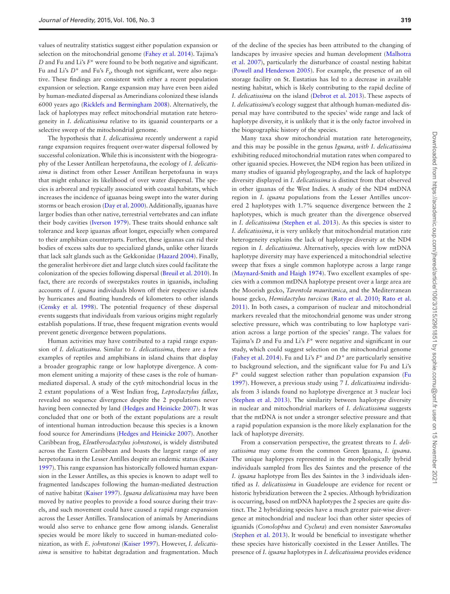values of neutrality statistics suggest either population expansion or selection on the mitochondrial genome ([Fahey et al. 2014](#page-5-22)). Tajima's *D* and Fu and Li's *F*\* were found to be both negative and significant. Fu and Li's *D*<sup>\*</sup> and Fu's *F*<sub>s</sub>, though not significant, were also negative. These findings are consistent with either a recent population expansion or selection. Range expansion may have even been aided by human-mediated dispersal as Amerindians colonized these islands 6000 years ago ([Ricklefs and Bermingham 2008\)](#page-6-1). Alternatively, the lack of haplotypes may reflect mitochondrial mutation rate heterogeneity in *I. delicatissima* relative to its iguanid counterparts or a selective sweep of the mitochondrial genome.

The hypothesis that *I. delicatissima* recently underwent a rapid range expansion requires frequent over-water dispersal followed by successful colonization. While this is inconsistent with the biogeography of the Lesser Antillean herpetofauna, the ecology of *I. delicatissima* is distinct from other Lesser Antillean herpetofauna in ways that might enhance its likelihood of over water dispersal. The species is arboreal and typically associated with coastal habitats, which increases the incidence of iguanas being swept into the water during storms or beach erosion [\(Day et al. 2000](#page-5-13)). Additionally, iguanas have larger bodies than other native, terrestrial vertebrates and can inflate their body cavities ([Iverson 1979\)](#page-5-23). These traits should enhance salt tolerance and keep iguanas afloat longer, especially when compared to their amphibian counterparts. Further, these iguanas can rid their bodies of excess salts due to specialized glands, unlike other lizards that lack salt glands such as the Gekkonidae [\(Hazard 2004\)](#page-5-24). Finally, the generalist herbivore diet and large clutch sizes could facilitate the colonization of the species following dispersal [\(Breuil et al. 2010\)](#page-5-15). In fact, there are records of sweepstakes routes in iguanids, including accounts of *I. iguana* individuals blown off their respective islands by hurricanes and floating hundreds of kilometers to other islands ([Censky et al. 1998\)](#page-5-25). The potential frequency of these dispersal events suggests that individuals from various origins might regularly establish populations. If true, these frequent migration events would prevent genetic divergence between populations.

Human activities may have contributed to a rapid range expansion of *I. delicatissima.* Similar to *I. delicatissima*, there are a few examples of reptiles and amphibians in island chains that display a broader geographic range or low haplotype divergence. A common element uniting a majority of these cases is the role of humanmediated dispersal. A study of the cyt*b* mitochondrial locus in the 2 extant populations of a West Indian frog, *Leptodactylus fallax*, revealed no sequence divergence despite the 2 populations never having been connected by land [\(Hedges and Heinicke 2007](#page-5-26)). It was concluded that one or both of the extant populations are a result of intentional human introduction because this species is a known food source for Amerindians ([Hedges and Heinicke 2007](#page-5-26)). Another Caribbean frog, *Eleutherodactylus johnstonei*, is widely distributed across the Eastern Caribbean and boasts the largest range of any herpetofauna in the Lesser Antilles despite an endemic status ([Kaiser](#page-5-27) [1997](#page-5-27)). This range expansion has historically followed human expansion in the Lesser Antilles, as this species is known to adapt well to fragmented landscapes following the human-mediated destruction of native habitat [\(Kaiser 1997\)](#page-5-27). *Iguana delicatissima* may have been moved by native peoples to provide a food source during their travels, and such movement could have caused a rapid range expansion across the Lesser Antilles. Translocation of animals by Amerindians would also serve to enhance gene flow among islands. Generalist species would be more likely to succeed in human-mediated colonization, as with *E. johnstonei* ([Kaiser 1997\)](#page-5-27). However, *I. delicatissima* is sensitive to habitat degradation and fragmentation. Much

of the decline of the species has been attributed to the changing of landscapes by invasive species and human development [\(Malhotra](#page-6-15) [et al. 2007](#page-6-15)), particularly the disturbance of coastal nesting habitat ([Powell and Henderson 2005\)](#page-6-16). For example, the presence of an oil storage facility on St. Eustatius has led to a decrease in available nesting habitat, which is likely contributing to the rapid decline of *I. delicatissima* on the island ([Debrot et al. 2013](#page-5-28)). These aspects of *I. delicatissima*'s ecology suggest that although human-mediated dispersal may have contributed to the species' wide range and lack of haplotype diversity, it is unlikely that it is the only factor involved in the biogeographic history of the species.

Many taxa show mitochondrial mutation rate heterogeneity, and this may be possible in the genus *Iguana, with I. delicatissima* exhibiting reduced mitochondrial mutation rates when compared to other iguanid species. However, the ND4 region has been utilized in many studies of iguanid phylogeography, and the lack of haplotype diversity displayed in *I. delicatissima* is distinct from that observed in other iguanas of the West Indies. A study of the ND4 mtDNA region in *I. iguana* populations from the Lesser Antilles uncovered 2 haplotypes with 1.7% sequence divergence between the 2 haplotypes, which is much greater than the divergence observed in *I. delicatissima* [\(Stephen et al. 2013\)](#page-6-10). As this species is sister to *I. delicatissima*, it is very unlikely that mitochondrial mutation rate heterogeneity explains the lack of haplotype diversity at the ND4 region in *I. delicatissima*. Alternatively, species with low mtDNA haplotype diversity may have experienced a mitochondrial selective sweep that fixes a single common haplotype across a large range ([Maynard-Smith and Haigh 1974](#page-6-17)). Two excellent examples of species with a common mtDNA haplotype present over a large area are the Moorish gecko, *Tarentola mauritanica*, and the Mediterranean house gecko, *Hemidactylus turcicus* ([Rato et al. 2010](#page-6-18); [Rato et al.](#page-6-19) [2011](#page-6-19)). In both cases, a comparison of nuclear and mitochondrial markers revealed that the mitochondrial genome was under strong selective pressure, which was contributing to low haplotype variation across a large portion of the species' range. The values for Tajima's *D* and Fu and Li's *F*\* were negative and significant in our study, which could suggest selection on the mitochondrial genome ([Fahey et al. 2014\)](#page-5-22). Fu and Li's *F*\* and *D\** are particularly sensitive to background selection, and the significant value for Fu and Li's *F*\* could suggest selection rather than population expansion [\(Fu](#page-5-19) [1997](#page-5-19)). However, a previous study using 7 *I. delicatissima* individuals from 3 islands found no haplotype divergence at 3 nuclear loci ([Stephen et al. 2013](#page-6-10)). The similarity between haplotype diversity in nuclear and mitochondrial markers of *I. delicatissima* suggests that the mtDNA is not under a stronger selective pressure and that a rapid population expansion is the more likely explanation for the lack of haplotype diversity.

From a conservation perspective, the greatest threats to *I. delicatissima* may come from the common Green Iguana, *I. iguana*. The unique haplotypes represented in the morphologically hybrid individuals sampled from Îles des Saintes and the presence of the *I. iguana* haplotype from Îles des Saintes in the 3 individuals identified as *I. delicatissima* in Guadeloupe are evidence for recent or historic hybridization between the 2 species. Although hybridization is occurring, based on mtDNA haplotypes the 2 species are quite distinct. The 2 hybridizing species have a much greater pair-wise divergence at mitochondrial and nuclear loci than other sister species of iguanids (*Conolophus* and *Cyclura*) and even nonsister *Sauromalus* ([Stephen et al. 2013\)](#page-6-10). It would be beneficial to investigate whether these species have historically coexisted in the Lesser Antilles. The presence of *I. iguana* haplotypes in *I. delicatissima* provides evidence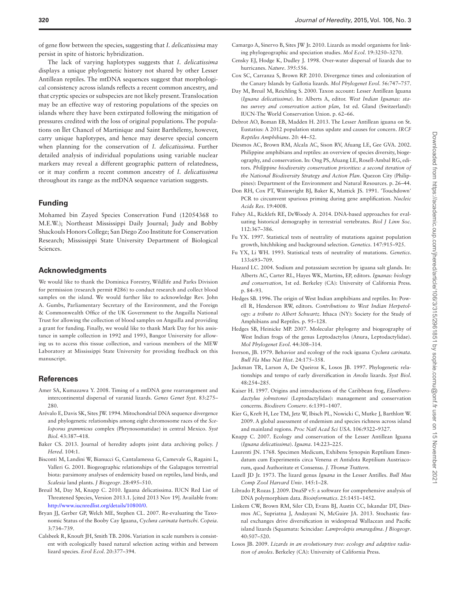of gene flow between the species, suggesting that *I. delicatissima* may persist in spite of historic hybridization.

The lack of varying haplotypes suggests that *I. delicatissima* displays a unique phylogenetic history not shared by other Lesser Antillean reptiles. The mtDNA sequences suggest that morphological consistency across islands reflects a recent common ancestry, and that cryptic species or subspecies are not likely present. Translocation may be an effective way of restoring populations of the species on islands where they have been extirpated following the mitigation of pressures credited with the loss of original populations. The populations on Îlet Chancel of Martinique and Saint Barthélemy, however, carry unique haplotypes, and hence may deserve special concern when planning for the conservation of *I. delicatissima*. Further detailed analysis of individual populations using variable nuclear markers may reveal a different geographic pattern of relatedness, or it may confirm a recent common ancestry of *I. delicatissima* throughout its range as the mtDNA sequence variation suggests.

# **Funding**

Mohamed bin Zayed Species Conservation Fund (12054368 to M.E.W.); Northeast Mississippi Daily Journal; Judy and Bobby Shackouls Honors College; San Diego Zoo Institute for Conservation Research; Mississippi State University Department of Biological Sciences.

## **Acknowledgments**

We would like to thank the Dominica Forestry, Wildlife and Parks Division for permission (research permit #286) to conduct research and collect blood samples on the island. We would further like to acknowledge Rev. John A. Gumbs, Parliamentary Secretary of the Environment, and the Foreign & Commonwealth Office of the UK Government to the Anguilla National Trust for allowing the collection of blood samples on Anguilla and providing a grant for funding. Finally, we would like to thank Mark Day for his assistance in sample collection in 1992 and 1993, Bangor University for allowing us to access this tissue collection, and various members of the MEW Laboratory at Mississippi State University for providing feedback on this manuscript.

# **References**

- <span id="page-5-7"></span>Amer SA, Kumazawa Y. 2008. Timing of a mtDNA gene rearrangement and intercontinental dispersal of varanid lizards. *Genes Genet Syst*. 83:275– 280.
- Arévalo E, Davis SK, Sites JW. 1994. Mitochondrial DNA sequence divergence and phylogenetic relationships among eight chromosome races of the *Sceloporus grammicus* complex (Phrynosomatidae) in central Mexico. *Syst Biol*. 43:387–418.
- <span id="page-5-18"></span>Baker CS. 2013. Journal of heredity adopts joint data archiving policy. *J Hered*. 104:1.
- <span id="page-5-5"></span>Bisconti M, Landini W, Bianucci G, Cantalamessa G, Camevale G, Ragaini L, Valleri G. 2001. Biogeographic relationships of the Galapagos terrestrial biota: parsimony analyses of endemicity based on reptiles, land birds, and *Scalesia* land plants. *J Biogeogr*. 28:495–510.
- <span id="page-5-15"></span>Breuil M, Day M, Knapp C. 2010. Iguana delicatissima. IUCN Red List of Threatened Species, Version 2013.1. [cited 2013 Nov 19]. Available from: <http://www.iucnredlist.org/details/10800/0>.
- <span id="page-5-16"></span>Bryan JJ, Gerber GP, Welch ME, Stephen CL. 2007. Re-evaluating the Taxonomic Status of the Booby Cay Iguana, *Cyclura carinata bartschi*. *Copeia*. 3:734–739.
- <span id="page-5-3"></span>Calsbeek R, Knouft JH, Smith TB. 2006. Variation in scale numbers is consistent with ecologically based natural selection acting within and between lizard species. *Evol Ecol*. 20:377–394.
- <span id="page-5-0"></span>Camargo A, Sinervo B, Sites JW Jr. 2010. Lizards as model organisms for linking phylogeographic and speciation studies. *Mol Ecol*. 19:3250–3270.
- <span id="page-5-25"></span>Censky EJ, Hodge K, Dudley J. 1998. Over-water dispersal of lizards due to hurricanes. *Nature*. 395:556.
- <span id="page-5-8"></span>Cox SC, Carranza S, Brown RP. 2010. Divergence times and colonization of the Canary Islands by Gallotia lizards. *Mol Phylogenet Evol*. 56:747–757.
- <span id="page-5-13"></span>Day M, Breuil M, Reichling S. 2000. Taxon account: Lesser Antillean Iguana (*Iguana delicatissima*). In: Alberts A, editor. *West Indian Iguanas: status survey and conservation action plan*, 1st ed. Gland (Switzerland): IUCN-The World Conservation Union. p. 62-66.
- <span id="page-5-28"></span>Debrot AO, Boman EB, Madden H. 2013. The Lesser Antillean iguana on St. Eustatius: A 2012 population status update and causes for concern. *IRCF Reptiles Amphibians*. 20: 44–52.
- <span id="page-5-6"></span>Diesmos AC, Brown RM, Alcala AC, Sison RV, Afuang LE, Gee GVA. 2002. Philippine amphibians and reptiles: an overview of species diversity, biogeography, and conservation. In: Ong PS, Afuang LE, Rosell-Ambal RG, editors. *Philippine biodiversity conservation priorities: a second iteration of the National Biodiversity Strategy and Action Plan*. Quezon City (Philippines): Department of the Environment and Natural Resources. p. 26–44.
- <span id="page-5-17"></span>Don RH, Cox PT, Wainwright BJ, Baker K, Mattick JS. 1991. 'Touchdown' PCR to circumvent spurious priming during gene amplification. *Nucleic Acids Res*. 19:4008.
- <span id="page-5-22"></span>Fahey AL, Ricklefs RE, DeWoody A. 2014. DNA-based approaches for evaluating historical demography in terrestrial vertebrates. *Biol J Linn Soc*. 112:367–386.
- <span id="page-5-19"></span>Fu YX. 1997. Statistical tests of neutrality of mutations against population growth, hitchhiking and background selection. *Genetics*. 147:915–925.
- <span id="page-5-20"></span>Fu YX, Li WH. 1993. Statistical tests of neutrality of mutations. *Genetics*. 133:693–709.
- <span id="page-5-24"></span>Hazard LC. 2004. Sodium and potassium secretion by iguana salt glands. In: Alberts AC, Carter RL, Hayes WK, Martins, EP, editors. *Iguanas: biology and conservation*, 1st ed. Berkeley (CA): University of California Press. p. 84–93.
- <span id="page-5-10"></span>Hedges SB. 1996. The origin of West Indian amphibians and reptiles. In: Powell R, Henderson RW, editors. *Contributions to West Indian Herpetology: a tribute to Albert Schwartz*. Ithaca (NY): Society for the Study of Amphibians and Reptiles. p. 95–128.
- <span id="page-5-26"></span>Hedges SB, Heinicke MP. 2007. Molecular phylogeny and biogeography of West Indian frogs of the genus Leptodactylus (Anura, Leptodactylidae). *Mol Phylogenet Evol*. 44:308–314.
- <span id="page-5-23"></span>Iverson, JB. 1979. Behavior and ecology of the rock iguana *Cyclura carinata*. *Bull Fla Mus Nat Hist*. 24:175–358.
- <span id="page-5-2"></span>Jackman TR, Larson A, De Queiroz K, Losos JB. 1997. Phylogenetic relationships and tempo of early diversification in *Anolis* lizards. *Syst Biol*. 48:254–285.
- <span id="page-5-27"></span>Kaiser H. 1997. Origins and introductions of the Caribbean frog, *Eleutherodactylus johnstonei* (Leptodactylidae): management and conservation concerns. *Biodivers Conserv*. 6:1391–1407.
- <span id="page-5-1"></span>Kier G, Kreft H, Lee TM, Jetz W, Ibisch PL, Nowicki C, Mutke J, Barthlott W. 2009. A global assessment of endemism and species richness across island and mainland regions. *Proc Natl Acad Sci USA*. 106:9322–9327.
- <span id="page-5-12"></span>Knapp C. 2007. Ecology and conservation of the Lesser Antillean Iguana (*Iguana delicatissima*). *Iguana*. 14:223–225.
- <span id="page-5-14"></span>Laurenti JN. 1768. Specimen Medicum, Exhibens Synopsin Reptilium Emendatum cum Experimentis circa Venena et Antidota Reptilium Austriacorum, quod Authoritate et Consensu. *J. Thomæ Trattern*.
- <span id="page-5-11"></span>Lazell JD Jr. 1973. The lizard genus *Iguana* in the Lesser Antilles. *Bull Mus Comp Zool Harvard Univ*. 145:1–28.
- <span id="page-5-21"></span>Librado P, Rozas J. 2009. DnaSP v5: a software for comprehensive analysis of DNA polymorphism data. *Bioinformatics*. 25:1451–1452.
- <span id="page-5-9"></span>Linkem CW, Brown RM, Siler CD, Evans BJ, Austin CC, Iskandar DT, Diesmos AC, Supriatna J, Andayani N, McGuire JA. 2013. Stochastic faunal exchanges drive diversification in widespread Wallacean and Pacific island lizards (Squamata: Scincidae: *Lamprolepis smaragdina*. *J Biogeogr*. 40:507–520.
- <span id="page-5-4"></span>Losos JB. 2009. *Lizards in an evolutionary tree: ecology and adaptive radiation of anoles*. Berkeley (CA): University of California Press.